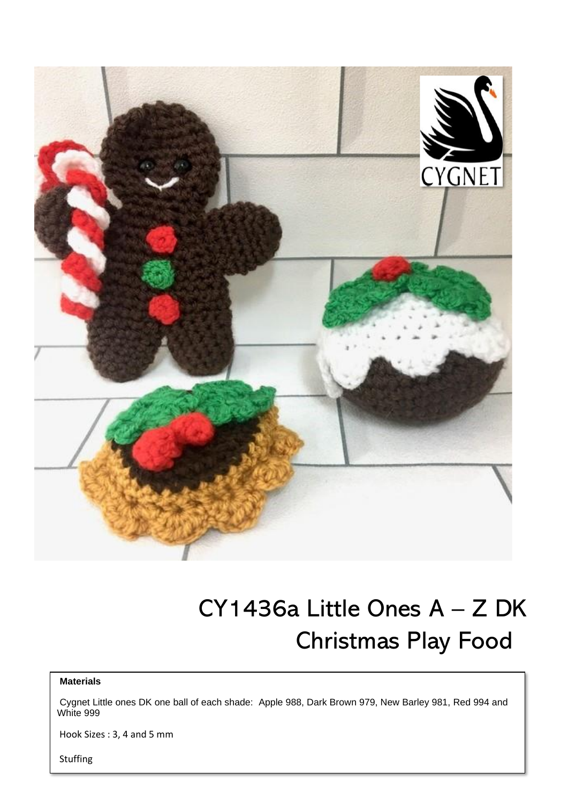

# CY1436a Little Ones A – Z DK Christmas Play Food

#### **Materials**

Cygnet Little ones DK one ball of each shade: Apple 988, Dark Brown 979, New Barley 981, Red 994 and White 999

Hook Sizes : 3, 4 and 5 mm

Stuffing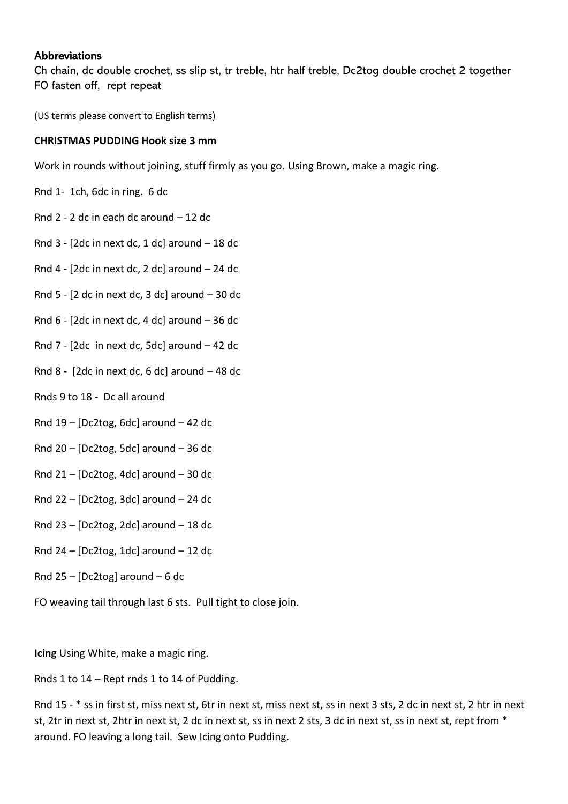# **Abbreviations**

Ch chain, dc double crochet, ss slip st, tr treble, htr half treble, Dc2tog double crochet 2 together FO fasten off, rept repeat

(US terms please convert to English terms)

## **CHRISTMAS PUDDING Hook size 3 mm**

Work in rounds without joining, stuff firmly as you go. Using Brown, make a magic ring.

- Rnd 1- 1ch, 6dc in ring. 6 dc
- Rnd 2 2 dc in each dc around 12 dc
- Rnd  $3 2$ dc in next dc, 1 dc] around  $-18$  dc
- Rnd  $4 [2dc$  in next dc, 2 dc] around  $24$  dc
- Rnd  $5 2$  dc in next dc, 3 dc] around  $-30$  dc
- Rnd  $6 2$ dc in next dc, 4 dc] around  $-36$  dc
- Rnd 7  $[2dc$  in next dc, 5dc] around  $-42$  dc
- Rnd 8 [2dc in next dc, 6 dc] around 48 dc
- Rnds 9 to 18 Dc all around
- Rnd  $19$  [Dc2tog, 6dc] around 42 dc
- Rnd 20 [Dc2tog, 5dc] around 36 dc
- Rnd  $21 [Dc2tog, 4dc]$  around  $-30$  dc
- Rnd  $22 [Dc2tog, 3dc]$  around  $-24$  dc
- Rnd 23 [Dc2tog, 2dc] around  $-18$  dc
- Rnd 24 [Dc2tog, 1dc] around 12 dc
- Rnd  $25 [Dc2tog]$  around  $-6$  dc

FO weaving tail through last 6 sts. Pull tight to close join.

**Icing** Using White, make a magic ring.

Rnds 1 to 14 – Rept rnds 1 to 14 of Pudding.

Rnd 15 - \* ss in first st, miss next st, 6tr in next st, miss next st, ss in next 3 sts, 2 dc in next st, 2 htr in next st, 2tr in next st, 2htr in next st, 2 dc in next st, ss in next 2 sts, 3 dc in next st, ss in next st, rept from \* around. FO leaving a long tail. Sew Icing onto Pudding.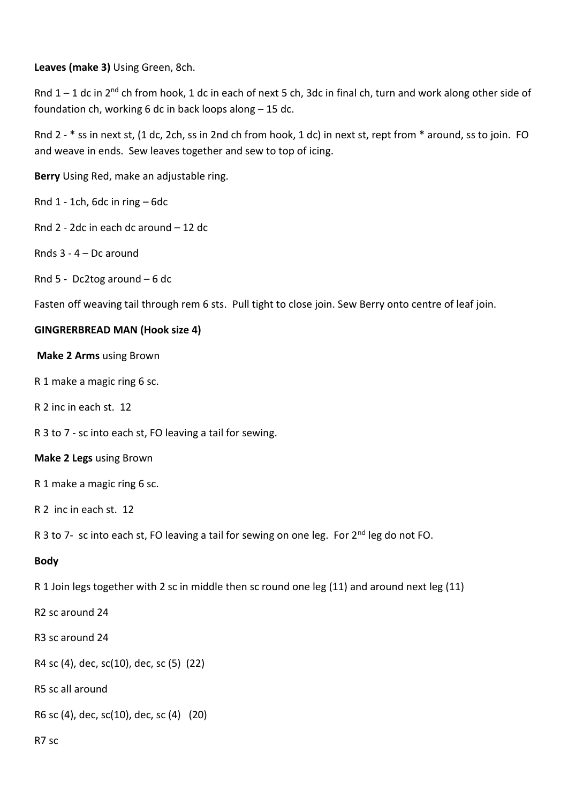**Leaves (make 3)** Using Green, 8ch.

Rnd  $1 - 1$  dc in  $2^{nd}$  ch from hook, 1 dc in each of next 5 ch, 3dc in final ch, turn and work along other side of foundation ch, working 6 dc in back loops along – 15 dc.

Rnd 2 - \* ss in next st, (1 dc, 2ch, ss in 2nd ch from hook, 1 dc) in next st, rept from \* around, ss to join. FO and weave in ends. Sew leaves together and sew to top of icing.

**Berry** Using Red, make an adjustable ring.

Rnd 1 - 1ch, 6dc in ring – 6dc

Rnd 2 - 2dc in each dc around – 12 dc

Rnds 3 - 4 – Dc around

Rnd 5 - Dc2tog around – 6 dc

Fasten off weaving tail through rem 6 sts. Pull tight to close join. Sew Berry onto centre of leaf join.

## **GINGRERBREAD MAN (Hook size 4)**

**Make 2 Arms** using Brown

- R 1 make a magic ring 6 sc.
- R 2 inc in each st. 12
- R 3 to 7 sc into each st, FO leaving a tail for sewing.

## **Make 2 Legs** using Brown

R 1 make a magic ring 6 sc.

R 2 inc in each st. 12

R 3 to 7- sc into each st, FO leaving a tail for sewing on one leg. For 2<sup>nd</sup> leg do not FO.

## **Body**

R 1 Join legs together with 2 sc in middle then sc round one leg (11) and around next leg (11)

R2 sc around 24

R3 sc around 24

R4 sc (4), dec, sc(10), dec, sc (5) (22)

R5 sc all around

R6 sc (4), dec, sc(10), dec, sc (4) (20)

#### R7 sc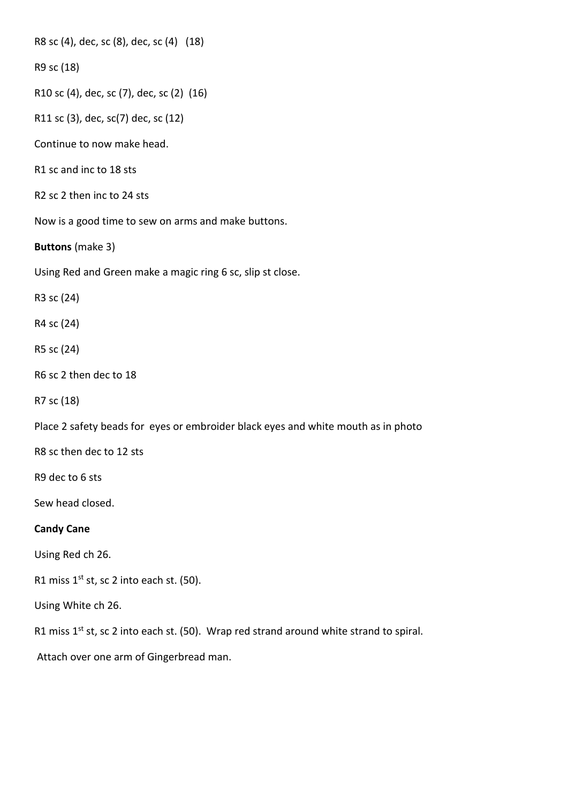R8 sc (4), dec, sc (8), dec, sc (4) (18)

R9 sc (18)

R10 sc (4), dec, sc (7), dec, sc (2) (16)

R11 sc (3), dec, sc(7) dec, sc (12)

Continue to now make head.

R1 sc and inc to 18 sts

R2 sc 2 then inc to 24 sts

Now is a good time to sew on arms and make buttons.

**Buttons** (make 3)

Using Red and Green make a magic ring 6 sc, slip st close.

R3 sc (24)

R4 sc (24)

R5 sc (24)

R6 sc 2 then dec to 18

R7 sc (18)

Place 2 safety beads for eyes or embroider black eyes and white mouth as in photo

R8 sc then dec to 12 sts

R9 dec to 6 sts

Sew head closed.

# **Candy Cane**

Using Red ch 26.

R1 miss  $1^{st}$  st, sc 2 into each st. (50).

Using White ch 26.

R1 miss  $1^{st}$  st, sc 2 into each st. (50). Wrap red strand around white strand to spiral.

Attach over one arm of Gingerbread man.